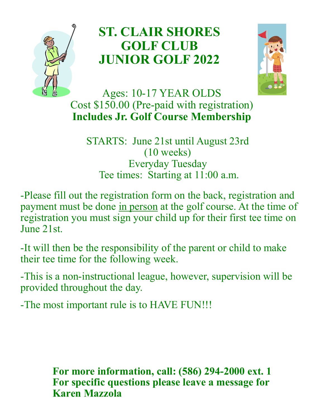

## **ST. CLAIR SHORES GOLF CLUB JUNIOR GOLF 2022**



Ages: 10-17 YEAR OLDS Cost \$150.00 (Pre-paid with registration) **Includes Jr. Golf Course Membership**

STARTS: June 21st until August 23rd (10 weeks) Everyday Tuesday Tee times: Starting at 11:00 a.m.

-Please fill out the registration form on the back, registration and payment must be done in person at the golf course. At the time of registration you must sign your child up for their first tee time on June 21st.

-It will then be the responsibility of the parent or child to make their tee time for the following week.

-This is a non-instructional league, however, supervision will be provided throughout the day.

-The most important rule is to HAVE FUN!!!

**For more information, call: (586) 294-2000 ext. 1 For specific questions please leave a message for Karen Mazzola**